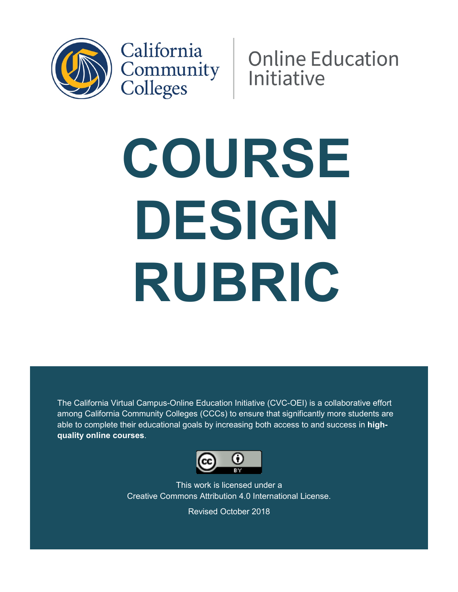

**Online Education** Initiative

# **COURSE DESIGN RUBRIC**

 able to complete their educational goals by increasing both access to and success in **high-**The California Virtual Campus-Online Education Initiative (CVC-OEI) is a collaborative effort among California Community Colleges (CCCs) to ensure that significantly more students are **quality online courses**.



This work is licensed under a Creative Commons Attribution 4.0 International License.

Revised October 2018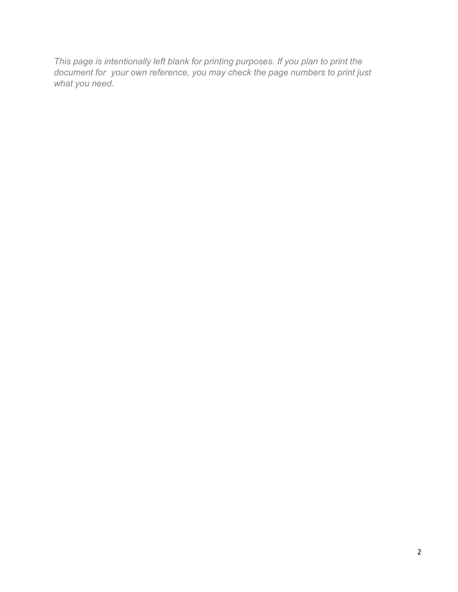*This page is intentionally left blank for printing purposes. If you plan to print the*  document for your own reference, you may check the page numbers to print just  *what you need.*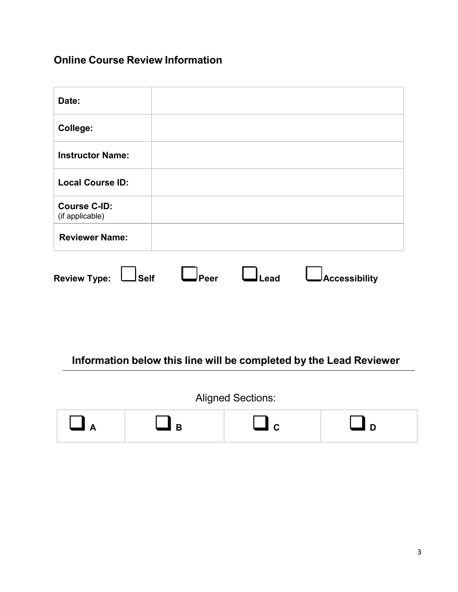## **Online Course Review Information**

| Date:                                  |      |     |                      |
|----------------------------------------|------|-----|----------------------|
| College:                               |      |     |                      |
| <b>Instructor Name:</b>                |      |     |                      |
| <b>Local Course ID:</b>                |      |     |                      |
| <b>Course C-ID:</b><br>(if applicable) |      |     |                      |
| <b>Reviewer Name:</b>                  |      |     |                      |
| <b>Review Type:</b><br><b>Self</b>     | Peer | ead | <b>Accessibility</b> |

## **Information below this line will be completed by the Lead Reviewer**

Aligned Sections:

|--|--|--|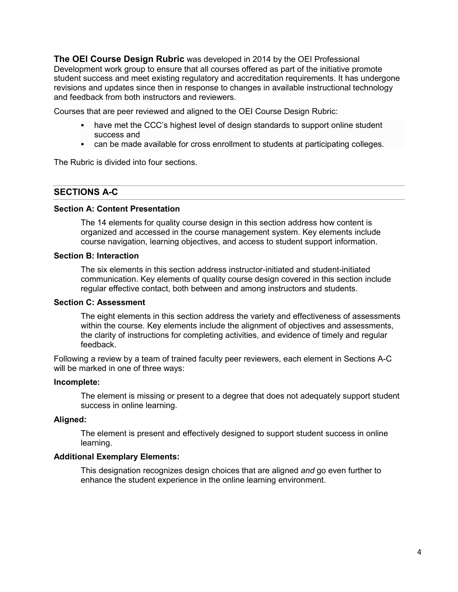**The OEI Course Design Rubric** was developed in 2014 by the OEI Professional Development work group to ensure that all courses offered as part of the initiative promote revisions and updates since then in response to changes in available instructional technology student success and meet existing regulatory and accreditation requirements. It has undergone and feedback from both instructors and reviewers.

Courses that are peer reviewed and aligned to the OEI Course Design Rubric:

- have met the CCC's highest level of design standards to support online student success and
- can be made available for cross enrollment to students at participating colleges.

The Rubric is divided into four sections.

#### **SECTIONS A-C**

### **Section A: Content Presentation**

 The 14 elements for quality course design in this section address how content is organized and accessed in the course management system. Key elements include course navigation, learning objectives, and access to student support information.

#### **Section B: Interaction**

The six elements in this section address instructor-initiated and student-initiated communication. Key elements of quality course design covered in this section include regular effective contact, both between and among instructors and students.

#### **Section C: Assessment**

The eight elements in this section address the variety and effectiveness of assessments within the course. Key elements include the alignment of objectives and assessments, the clarity of instructions for completing activities, and evidence of timely and regular feedback.

Following a review by a team of trained faculty peer reviewers, each element in Sections A-C will be marked in one of three ways:

#### **Incomplete:**

The element is missing or present to a degree that does not adequately support student success in online learning.

## **Aligned:**

The element is present and effectively designed to support student success in online learning.

#### **Additional Exemplary Elements:**

This designation recognizes design choices that are aligned *and* go even further to enhance the student experience in the online learning environment.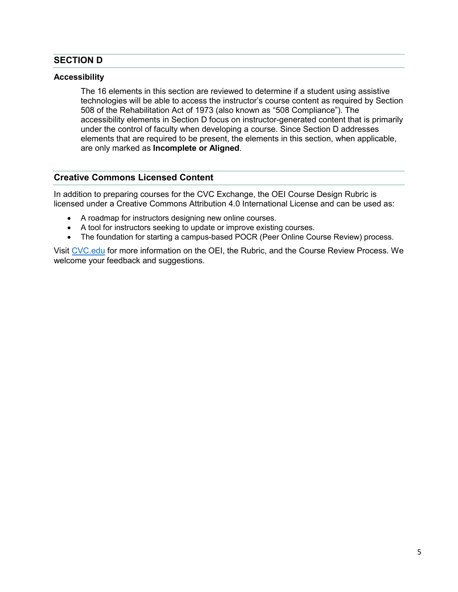## **SECTION D**

## **Accessibility**

The 16 elements in this section are reviewed to determine if a student using assistive technologies will be able to access the instructor's course content as required by Section 508 of the Rehabilitation Act of 1973 (also known as "508 Compliance"). The accessibility elements in Section D focus on instructor-generated content that is primarily under the control of faculty when developing a course. Since Section D addresses elements that are required to be present, the elements in this section, when applicable, are only marked as **Incomplete or Aligned**.

## **Creative Commons Licensed Content**

In addition to preparing courses for the CVC Exchange, the OEI Course Design Rubric is licensed under a Creative Commons Attribution 4.0 International License and can be used as:

- A roadmap for instructors designing new online courses.
- A tool for instructors seeking to update or improve existing courses.
- The foundation for starting a campus-based POCR (Peer Online Course Review) process.

Visit <u>CVC.edu</u> for more information on the OEI, the Rubric, and the Course Review Process. We welcome your feedback and suggestions.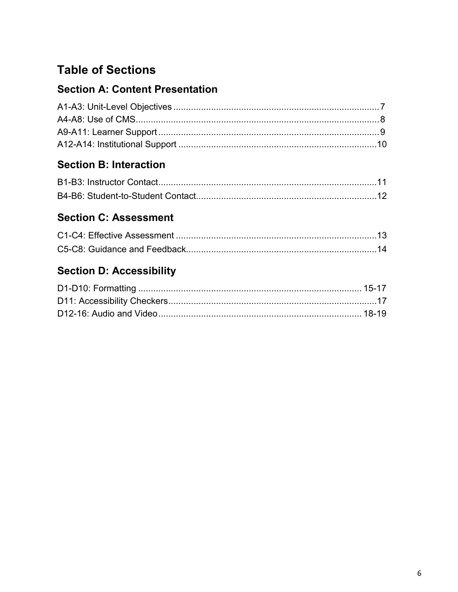# **Table of Sections**

# **Section A: Content Presentation**

# **Section B: Interaction**

# **Section C: Assessment**

# **Section D: Accessibility**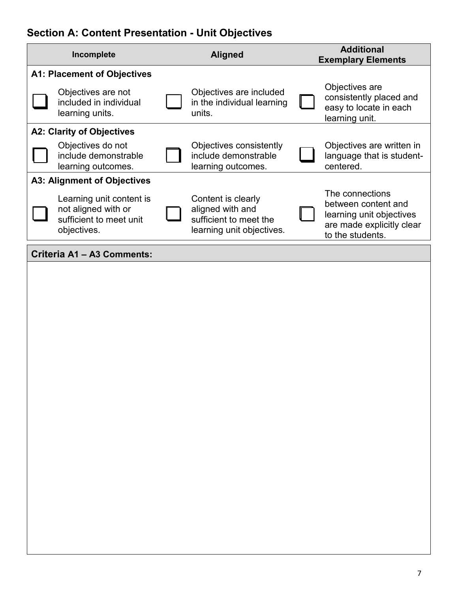## **Section A: Content Presentation - Unit Objectives**

| Incomplete                                                                                | <b>Aligned</b>                                                                                | <b>Additional</b><br><b>Exemplary Elements</b>                                                                      |
|-------------------------------------------------------------------------------------------|-----------------------------------------------------------------------------------------------|---------------------------------------------------------------------------------------------------------------------|
| <b>A1: Placement of Objectives</b>                                                        |                                                                                               |                                                                                                                     |
| Objectives are not<br>included in individual<br>learning units.                           | Objectives are included<br>in the individual learning<br>units.                               | Objectives are<br>consistently placed and<br>easy to locate in each<br>learning unit.                               |
| <b>A2: Clarity of Objectives</b>                                                          |                                                                                               |                                                                                                                     |
| Objectives do not<br>include demonstrable<br>learning outcomes.                           | Objectives consistently<br>include demonstrable<br>learning outcomes.                         | Objectives are written in<br>language that is student-<br>centered.                                                 |
| <b>A3: Alignment of Objectives</b>                                                        |                                                                                               |                                                                                                                     |
| Learning unit content is<br>not aligned with or<br>sufficient to meet unit<br>objectives. | Content is clearly<br>aligned with and<br>sufficient to meet the<br>learning unit objectives. | The connections<br>between content and<br>learning unit objectives<br>are made explicitly clear<br>to the students. |
| Criteria A1 - A3 Comments:                                                                |                                                                                               |                                                                                                                     |
|                                                                                           |                                                                                               |                                                                                                                     |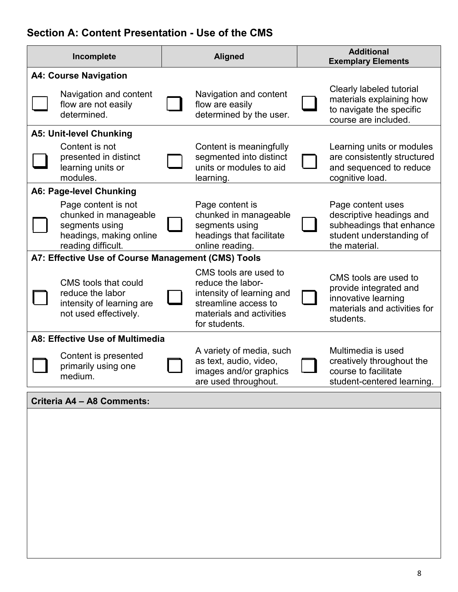# **Section A: Content Presentation - Use of the CMS**

|                                 | Incomplete                                                                                                      |  | <b>Aligned</b>                                                                                                                               |  | <b>Additional</b><br><b>Exemplary Elements</b>                                                                         |
|---------------------------------|-----------------------------------------------------------------------------------------------------------------|--|----------------------------------------------------------------------------------------------------------------------------------------------|--|------------------------------------------------------------------------------------------------------------------------|
|                                 | <b>A4: Course Navigation</b>                                                                                    |  |                                                                                                                                              |  |                                                                                                                        |
|                                 | Navigation and content<br>flow are not easily<br>determined.                                                    |  | Navigation and content<br>flow are easily<br>determined by the user.                                                                         |  | Clearly labeled tutorial<br>materials explaining how<br>to navigate the specific<br>course are included.               |
|                                 | <b>A5: Unit-level Chunking</b>                                                                                  |  |                                                                                                                                              |  |                                                                                                                        |
|                                 | Content is not<br>presented in distinct<br>learning units or<br>modules.                                        |  | Content is meaningfully<br>segmented into distinct<br>units or modules to aid<br>learning.                                                   |  | Learning units or modules<br>are consistently structured<br>and sequenced to reduce<br>cognitive load.                 |
|                                 | A6: Page-level Chunking                                                                                         |  |                                                                                                                                              |  |                                                                                                                        |
|                                 | Page content is not<br>chunked in manageable<br>segments using<br>headings, making online<br>reading difficult. |  | Page content is<br>chunked in manageable<br>segments using<br>headings that facilitate<br>online reading.                                    |  | Page content uses<br>descriptive headings and<br>subheadings that enhance<br>student understanding of<br>the material. |
|                                 | A7: Effective Use of Course Management (CMS) Tools                                                              |  |                                                                                                                                              |  |                                                                                                                        |
|                                 | CMS tools that could<br>reduce the labor<br>intensity of learning are<br>not used effectively.                  |  | CMS tools are used to<br>reduce the labor-<br>intensity of learning and<br>streamline access to<br>materials and activities<br>for students. |  | CMS tools are used to<br>provide integrated and<br>innovative learning<br>materials and activities for<br>students.    |
| A8: Effective Use of Multimedia |                                                                                                                 |  |                                                                                                                                              |  |                                                                                                                        |
|                                 | Content is presented<br>primarily using one<br>medium.                                                          |  | A variety of media, such<br>as text, audio, video,<br>images and/or graphics<br>are used throughout.                                         |  | Multimedia is used<br>creatively throughout the<br>course to facilitate<br>student-centered learning.                  |
|                                 | Criteria A4 - A8 Comments:                                                                                      |  |                                                                                                                                              |  |                                                                                                                        |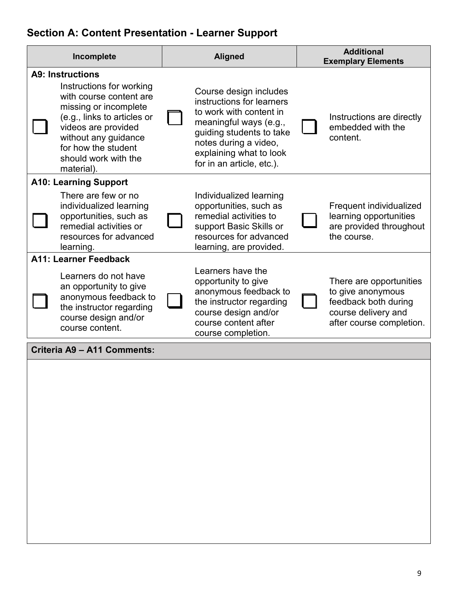# **Section A: Content Presentation - Learner Support**

| Incomplete                                                                                                                                                                                                                                         | <b>Aligned</b>                                                                                                                                                                                                        | <b>Additional</b><br><b>Exemplary Elements</b>                                                                          |
|----------------------------------------------------------------------------------------------------------------------------------------------------------------------------------------------------------------------------------------------------|-----------------------------------------------------------------------------------------------------------------------------------------------------------------------------------------------------------------------|-------------------------------------------------------------------------------------------------------------------------|
| <b>A9: Instructions</b><br>Instructions for working<br>with course content are<br>missing or incomplete<br>(e.g., links to articles or<br>videos are provided<br>without any guidance<br>for how the student<br>should work with the<br>material). | Course design includes<br>instructions for learners<br>to work with content in<br>meaningful ways (e.g.,<br>guiding students to take<br>notes during a video,<br>explaining what to look<br>for in an article, etc.). | Instructions are directly<br>embedded with the<br>content.                                                              |
| <b>A10: Learning Support</b>                                                                                                                                                                                                                       |                                                                                                                                                                                                                       |                                                                                                                         |
| There are few or no<br>individualized learning<br>opportunities, such as<br>remedial activities or<br>resources for advanced<br>learning.                                                                                                          | Individualized learning<br>opportunities, such as<br>remedial activities to<br>support Basic Skills or<br>resources for advanced<br>learning, are provided.                                                           | Frequent individualized<br>learning opportunities<br>are provided throughout<br>the course.                             |
| <b>A11: Learner Feedback</b>                                                                                                                                                                                                                       |                                                                                                                                                                                                                       |                                                                                                                         |
| Learners do not have<br>an opportunity to give<br>anonymous feedback to<br>the instructor regarding<br>course design and/or<br>course content.                                                                                                     | Learners have the<br>opportunity to give<br>anonymous feedback to<br>the instructor regarding<br>course design and/or<br>course content after<br>course completion.                                                   | There are opportunities<br>to give anonymous<br>feedback both during<br>course delivery and<br>after course completion. |
| <b>California</b> AO<br>$144$ $Commonation$                                                                                                                                                                                                        |                                                                                                                                                                                                                       |                                                                                                                         |

## **Criteria A9 – A11 Comments:**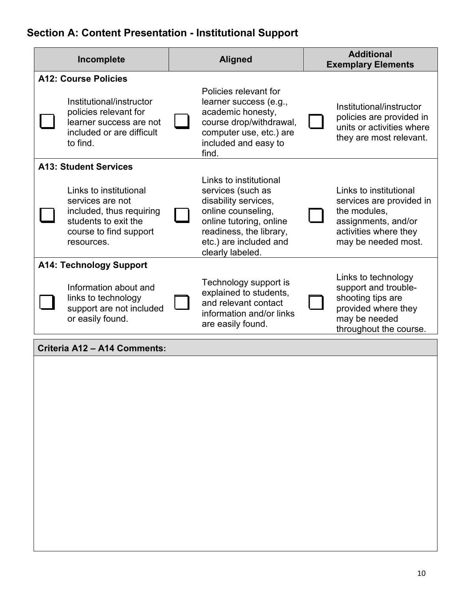# **Section A: Content Presentation - Institutional Support**



## **Criteria A12 – A14 Comments:**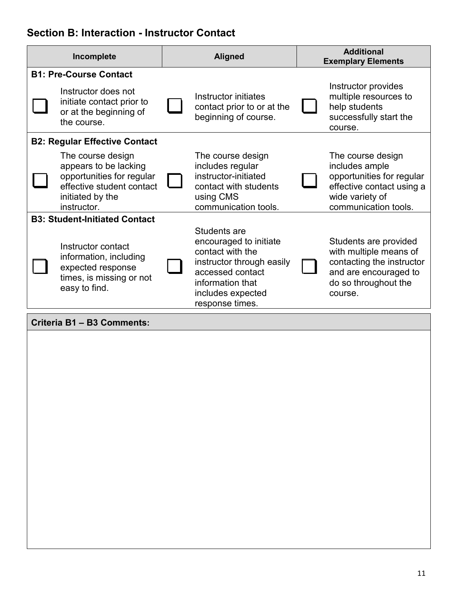# **Section B: Interaction - Instructor Contact**

| Incomplete                                                                                                                              | <b>Additional</b><br><b>Aligned</b><br><b>Exemplary Elements</b> |                                                                                                                                                                         |  |                                                                                                                                          |
|-----------------------------------------------------------------------------------------------------------------------------------------|------------------------------------------------------------------|-------------------------------------------------------------------------------------------------------------------------------------------------------------------------|--|------------------------------------------------------------------------------------------------------------------------------------------|
| <b>B1: Pre-Course Contact</b>                                                                                                           |                                                                  |                                                                                                                                                                         |  |                                                                                                                                          |
| Instructor does not<br>initiate contact prior to<br>or at the beginning of<br>the course.                                               |                                                                  | Instructor initiates<br>contact prior to or at the<br>beginning of course.                                                                                              |  | Instructor provides<br>multiple resources to<br>help students<br>successfully start the<br>course.                                       |
| <b>B2: Regular Effective Contact</b>                                                                                                    |                                                                  |                                                                                                                                                                         |  |                                                                                                                                          |
| The course design<br>appears to be lacking<br>opportunities for regular<br>effective student contact<br>initiated by the<br>instructor. |                                                                  | The course design<br>includes regular<br>instructor-initiated<br>contact with students<br>using CMS<br>communication tools.                                             |  | The course design<br>includes ample<br>opportunities for regular<br>effective contact using a<br>wide variety of<br>communication tools. |
| <b>B3: Student-Initiated Contact</b>                                                                                                    |                                                                  |                                                                                                                                                                         |  |                                                                                                                                          |
| Instructor contact<br>information, including<br>expected response<br>times, is missing or not<br>easy to find.                          |                                                                  | Students are<br>encouraged to initiate<br>contact with the<br>instructor through easily<br>accessed contact<br>information that<br>includes expected<br>response times. |  | Students are provided<br>with multiple means of<br>contacting the instructor<br>and are encouraged to<br>do so throughout the<br>course. |
|                                                                                                                                         |                                                                  |                                                                                                                                                                         |  |                                                                                                                                          |

## **Criteria B1 – B3 Comments:**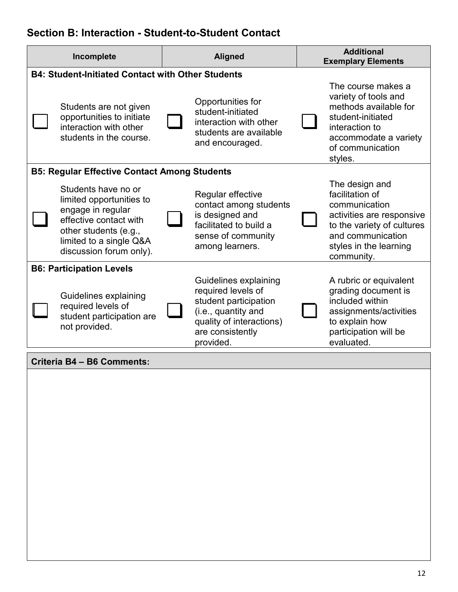## **Section B: Interaction - Student-to-Student Contact**

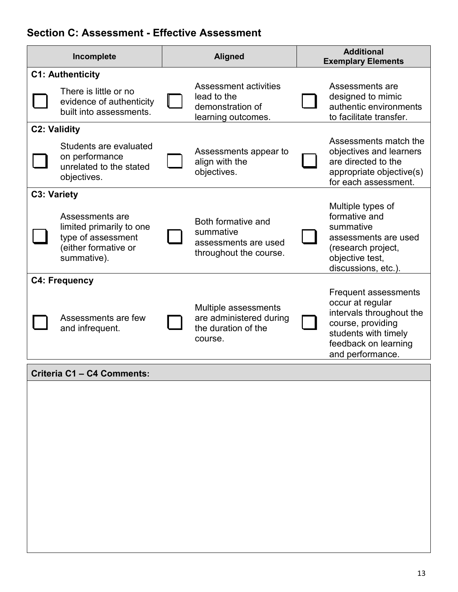## **Section C: Assessment - Effective Assessment**



## **Criteria C1 – C4 Comments:**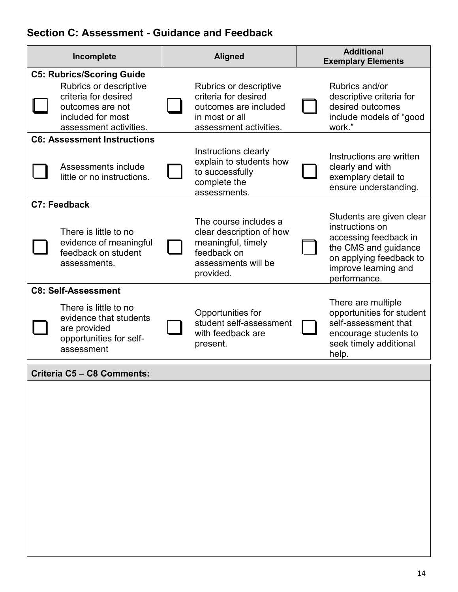# **Section C: Assessment - Guidance and Feedback**

| Incomplete                                                                                                                                            |  | <b>Aligned</b>                                                                                                             |  | <b>Additional</b><br><b>Exemplary Elements</b>                                                                                                                  |  |
|-------------------------------------------------------------------------------------------------------------------------------------------------------|--|----------------------------------------------------------------------------------------------------------------------------|--|-----------------------------------------------------------------------------------------------------------------------------------------------------------------|--|
| <b>C5: Rubrics/Scoring Guide</b><br>Rubrics or descriptive<br>criteria for desired<br>outcomes are not<br>included for most<br>assessment activities. |  | Rubrics or descriptive<br>criteria for desired<br>outcomes are included<br>in most or all<br>assessment activities.        |  | Rubrics and/or<br>descriptive criteria for<br>desired outcomes<br>include models of "good<br>work."                                                             |  |
| <b>C6: Assessment Instructions</b>                                                                                                                    |  |                                                                                                                            |  |                                                                                                                                                                 |  |
| Assessments include<br>little or no instructions.                                                                                                     |  | Instructions clearly<br>explain to students how<br>to successfully<br>complete the<br>assessments.                         |  | Instructions are written<br>clearly and with<br>exemplary detail to<br>ensure understanding.                                                                    |  |
| <b>C7: Feedback</b>                                                                                                                                   |  |                                                                                                                            |  |                                                                                                                                                                 |  |
| There is little to no<br>evidence of meaningful<br>feedback on student<br>assessments.                                                                |  | The course includes a<br>clear description of how<br>meaningful, timely<br>feedback on<br>assessments will be<br>provided. |  | Students are given clear<br>instructions on<br>accessing feedback in<br>the CMS and guidance<br>on applying feedback to<br>improve learning and<br>performance. |  |
| <b>C8: Self-Assessment</b>                                                                                                                            |  |                                                                                                                            |  |                                                                                                                                                                 |  |
| There is little to no<br>evidence that students<br>are provided<br>opportunities for self-<br>assessment                                              |  | Opportunities for<br>student self-assessment<br>with feedback are<br>present.                                              |  | There are multiple<br>opportunities for student<br>self-assessment that<br>encourage students to<br>seek timely additional<br>help.                             |  |
|                                                                                                                                                       |  |                                                                                                                            |  |                                                                                                                                                                 |  |

**Criteria C5 – C8 Comments:**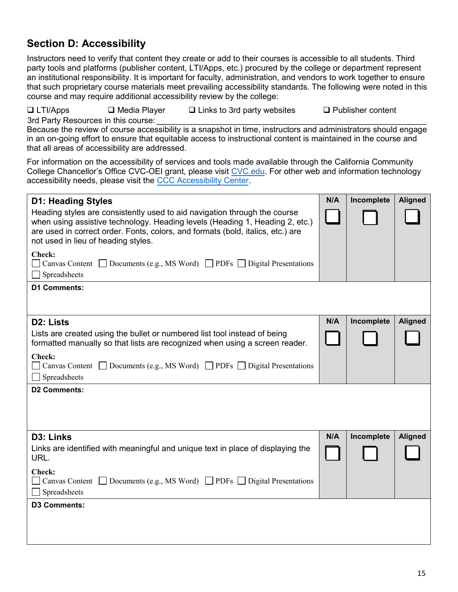## **Section D: Accessibility**

 that such proprietary course materials meet prevailing accessibility standards. The following were noted in this Instructors need to verify that content they create or add to their courses is accessible to all students. Third party tools and platforms (publisher content, LTI/Apps, etc.) procured by the college or department represent an institutional responsibility. It is important for faculty, administration, and vendors to work together to ensure course and may require additional accessibility review by the college:

| $\Box$ LTI/Apps                     | $\Box$ Media Player | $\Box$ Links to 3rd party websites | $\Box$ Publisher content |
|-------------------------------------|---------------------|------------------------------------|--------------------------|
| 3rd Party Resources in this course: |                     |                                    |                          |

that all areas of accessibility are addressed. Because the review of course accessibility is a snapshot in time, instructors and administrators should engage in an on-going effort to ensure that equitable access to instructional content is maintained in the course and

For information on the accessibility of services and tools made available through the California Community College Chancellor's Office CVC-OEI grant, please visi[t CVC.edu.](https://cvc.edu/) For other web and information technology accessibility needs, please visit the [CCC Accessibility Center.](https://cccaccessibility.org/) 

| <b>D1: Heading Styles</b>                                                                                                                                                                                                                                                           | N/A | Incomplete | <b>Aligned</b> |
|-------------------------------------------------------------------------------------------------------------------------------------------------------------------------------------------------------------------------------------------------------------------------------------|-----|------------|----------------|
| Heading styles are consistently used to aid navigation through the course<br>when using assistive technology. Heading levels (Heading 1, Heading 2, etc.)<br>are used in correct order. Fonts, colors, and formats (bold, italics, etc.) are<br>not used in lieu of heading styles. |     |            |                |
| Check:<br>Documents (e.g., MS Word) $\Box$ PDFs $\Box$ Digital Presentations<br>Canvas Content $\Box$<br>Spreadsheets                                                                                                                                                               |     |            |                |
| D1 Comments:                                                                                                                                                                                                                                                                        |     |            |                |
|                                                                                                                                                                                                                                                                                     |     |            |                |
| D <sub>2</sub> : Lists                                                                                                                                                                                                                                                              | N/A | Incomplete | <b>Aligned</b> |
| Lists are created using the bullet or numbered list tool instead of being<br>formatted manually so that lists are recognized when using a screen reader.                                                                                                                            |     |            |                |
| Check:<br>Documents (e.g., MS Word) $\Box$ PDFs $\Box$ Digital Presentations<br>Canvas Content<br>Spreadsheets                                                                                                                                                                      |     |            |                |
| <b>D2 Comments:</b>                                                                                                                                                                                                                                                                 |     |            |                |
|                                                                                                                                                                                                                                                                                     |     |            |                |
|                                                                                                                                                                                                                                                                                     |     |            |                |
| D3: Links                                                                                                                                                                                                                                                                           | N/A | Incomplete | <b>Aligned</b> |
| Links are identified with meaningful and unique text in place of displaying the<br>URL.                                                                                                                                                                                             |     |            |                |
| <b>Check:</b><br>Canvas Content $\Box$ Documents (e.g., MS Word) $\Box$ PDFs $\Box$ Digital Presentations<br>Spreadsheets                                                                                                                                                           |     |            |                |
| <b>D3 Comments:</b>                                                                                                                                                                                                                                                                 |     |            |                |
|                                                                                                                                                                                                                                                                                     |     |            |                |
|                                                                                                                                                                                                                                                                                     |     |            |                |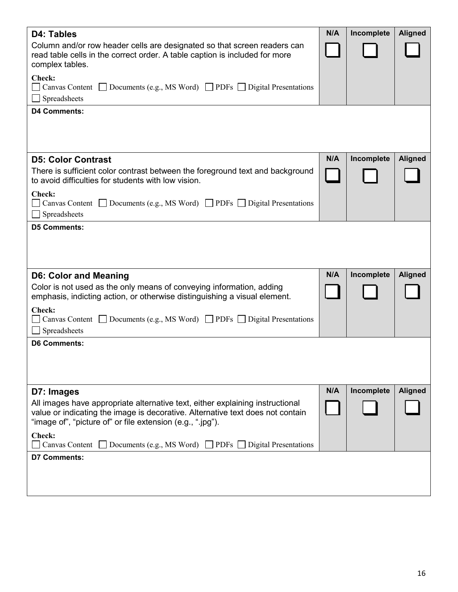| <b>D4: Tables</b><br>Column and/or row header cells are designated so that screen readers can<br>read table cells in the correct order. A table caption is included for more<br>complex tables.<br>Check:<br>Canvas Content $\Box$ Documents (e.g., MS Word) $\Box$ PDFs $\Box$ Digital Presentations<br>Spreadsheets<br><b>D4 Comments:</b> | N/A | Incomplete | <b>Aligned</b> |
|----------------------------------------------------------------------------------------------------------------------------------------------------------------------------------------------------------------------------------------------------------------------------------------------------------------------------------------------|-----|------------|----------------|
| <b>D5: Color Contrast</b><br>There is sufficient color contrast between the foreground text and background<br>to avoid difficulties for students with low vision.<br><b>Check:</b><br>Canvas Content $\Box$ Documents (e.g., MS Word) $\Box$ PDFs $\Box$ Digital Presentations<br>Spreadsheets                                               | N/A | Incomplete | <b>Aligned</b> |
| <b>D5 Comments:</b><br><b>D6: Color and Meaning</b><br>Color is not used as the only means of conveying information, adding<br>emphasis, indicting action, or otherwise distinguishing a visual element.<br>Check:<br>Documents (e.g., MS Word) $\Box$ PDFs $\Box$ Digital Presentations<br>Canvas Content<br>Spreadsheets                   | N/A | Incomplete | <b>Aligned</b> |
| <b>D6 Comments:</b><br>D7: Images<br>All images have appropriate alternative text, either explaining instructional<br>value or indicating the image is decorative. Alternative text does not contain<br>"image of", "picture of" or file extension (e.g., ".jpg").<br>Check:                                                                 | N/A | Incomplete | <b>Aligned</b> |
| Documents (e.g., MS Word) $\Box$ PDFs $\Box$ Digital Presentations<br>Canvas Content<br><b>D7 Comments:</b>                                                                                                                                                                                                                                  |     |            |                |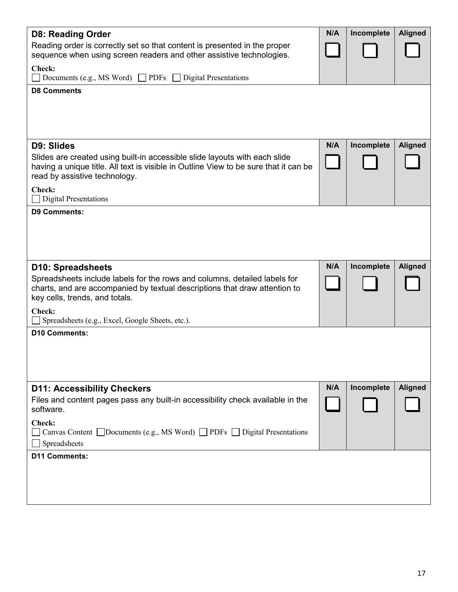| <b>D8: Reading Order</b><br>Reading order is correctly set so that content is presented in the proper<br>sequence when using screen readers and other assistive technologies.<br><b>Check:</b><br>Documents (e.g., MS Word) $\Box$ PDFs $\Box$<br>Digital Presentations             | N/A | Incomplete | <b>Aligned</b> |
|-------------------------------------------------------------------------------------------------------------------------------------------------------------------------------------------------------------------------------------------------------------------------------------|-----|------------|----------------|
| <b>D8 Comments</b>                                                                                                                                                                                                                                                                  |     |            |                |
| <b>D9: Slides</b><br>Slides are created using built-in accessible slide layouts with each slide<br>having a unique title. All text is visible in Outline View to be sure that it can be<br>read by assistive technology.<br>Check:<br><b>Digital Presentations</b>                  | N/A | Incomplete | <b>Aligned</b> |
| <b>D9 Comments:</b>                                                                                                                                                                                                                                                                 |     |            |                |
| <b>D10: Spreadsheets</b><br>Spreadsheets include labels for the rows and columns, detailed labels for<br>charts, and are accompanied by textual descriptions that draw attention to<br>key cells, trends, and totals.<br>Check:<br>Spreadsheets (e.g., Excel, Google Sheets, etc.). | N/A | Incomplete | <b>Aligned</b> |
| <b>D10 Comments:</b>                                                                                                                                                                                                                                                                |     |            |                |
| <b>D11: Accessibility Checkers</b><br>Files and content pages pass any built-in accessibility check available in the<br>software.<br>Check:<br>Canvas Content Documents (e.g., MS Word) PDFs Digital Presentations<br>Spreadsheets                                                  | N/A | Incomplete | <b>Aligned</b> |
| <b>D11 Comments:</b>                                                                                                                                                                                                                                                                |     |            |                |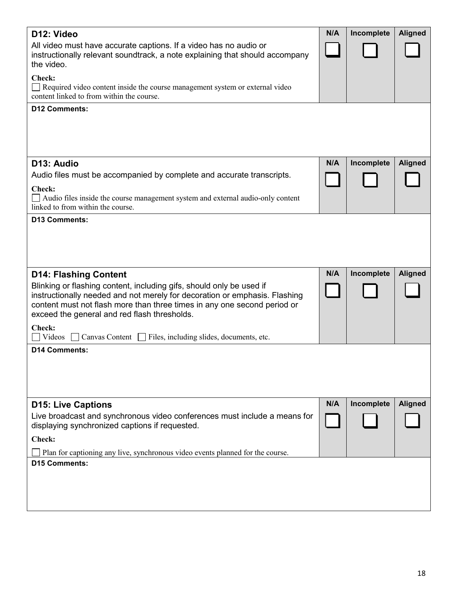| D12: Video                                                                                                                                             | N/A | Incomplete | <b>Aligned</b> |
|--------------------------------------------------------------------------------------------------------------------------------------------------------|-----|------------|----------------|
| All video must have accurate captions. If a video has no audio or<br>instructionally relevant soundtrack, a note explaining that should accompany      |     |            |                |
| the video.                                                                                                                                             |     |            |                |
| Check:<br>Required video content inside the course management system or external video<br>content linked to from within the course.                    |     |            |                |
| <b>D12 Comments:</b>                                                                                                                                   |     |            |                |
|                                                                                                                                                        |     |            |                |
|                                                                                                                                                        |     |            |                |
|                                                                                                                                                        |     |            |                |
| D13: Audio                                                                                                                                             | N/A | Incomplete | <b>Aligned</b> |
| Audio files must be accompanied by complete and accurate transcripts.                                                                                  |     |            |                |
| Check:                                                                                                                                                 |     |            |                |
| Audio files inside the course management system and external audio-only content<br>linked to from within the course.                                   |     |            |                |
| <b>D13 Comments:</b>                                                                                                                                   |     |            |                |
|                                                                                                                                                        |     |            |                |
|                                                                                                                                                        |     |            |                |
|                                                                                                                                                        |     |            |                |
| <b>D14: Flashing Content</b>                                                                                                                           | N/A | Incomplete | <b>Aligned</b> |
| Blinking or flashing content, including gifs, should only be used if                                                                                   |     |            |                |
| instructionally needed and not merely for decoration or emphasis. Flashing<br>content must not flash more than three times in any one second period or |     |            |                |
| exceed the general and red flash thresholds.                                                                                                           |     |            |                |
| Check:                                                                                                                                                 |     |            |                |
| Videos<br>Canvas Content<br>Files, including slides, documents, etc.                                                                                   |     |            |                |
| <b>D14 Comments:</b>                                                                                                                                   |     |            |                |
|                                                                                                                                                        |     |            |                |
|                                                                                                                                                        |     |            |                |
|                                                                                                                                                        |     |            |                |
| <b>D15: Live Captions</b>                                                                                                                              | N/A | Incomplete | <b>Aligned</b> |
| Live broadcast and synchronous video conferences must include a means for<br>displaying synchronized captions if requested.                            |     |            |                |
| <b>Check:</b>                                                                                                                                          |     |            |                |
| Plan for captioning any live, synchronous video events planned for the course.                                                                         |     |            |                |
| <b>D15 Comments:</b>                                                                                                                                   |     |            |                |
|                                                                                                                                                        |     |            |                |
|                                                                                                                                                        |     |            |                |
|                                                                                                                                                        |     |            |                |